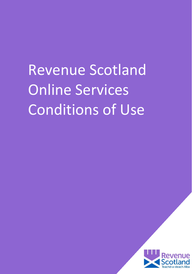Revenue Scotland Online Services Conditions of Use

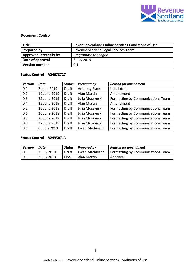

# **Document Control**

| <b>Title</b>           | <b>Revenue Scotland Online Services Conditions of Use</b> |  |  |
|------------------------|-----------------------------------------------------------|--|--|
| Prepared by            | Revenue Scotland Legal Services Team                      |  |  |
| Approved internally by | Programme Manager                                         |  |  |
| Date of approval       | 3 July 2019                                               |  |  |
| <b>Version number</b>  | 0.1                                                       |  |  |

# **Status Control – A24678727**

| <b>Version</b> | Date         | <b>Status</b> | <b>Prepared by</b>   | <b>Reason for amendment</b>       |
|----------------|--------------|---------------|----------------------|-----------------------------------|
| 0.1            | 7 June 2019  | Draft         | <b>Anthony Slack</b> | Initial draft                     |
| 0.2            | 19 June 2019 | Draft         | Alan Martin          | Amendment                         |
| 0.3            | 25 June 2019 | <b>Draft</b>  | Julia Muszynski      | Formatting by Communications Team |
| 0.4            | 25 June 2019 | Draft         | Alan Martin          | Amendment                         |
| 0.5            | 26 June 2019 | Draft         | Julia Muszynski      | Formatting by Communications Team |
| 0.6            | 26 June 2019 | Draft         | Julia Muszynski      | Formatting by Communications Team |
| 0.7            | 26 June 2019 | Draft         | Julia Muszynski      | Formatting by Communications Team |
| 0.8            | 27 June 2019 | Draft         | Julia Muszynski      | Formatting by Communications Team |
| 0.9            | 03 July 2019 | Draft         | Ewan Mathieson       | Formatting by Communications Team |

# **Status Control – A24950713**

| <b>Version</b> | Date        | Status | Prepared by    | <b>Reason for amendment</b>              |
|----------------|-------------|--------|----------------|------------------------------------------|
| $\mid 0.1$     | 3 July 2019 | Draft  | Ewan Mathieson | <b>Formatting by Communications Team</b> |
| $\mid 0.1$     | 3 July 2019 | Final  | Alan Martin    | Approval                                 |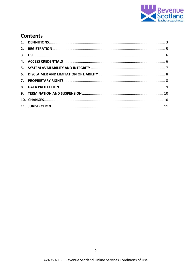

# **Contents**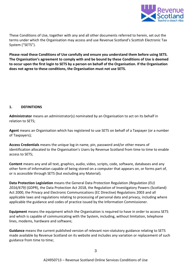

These Conditions of Use, together with any and all other documents referred to herein, set out the terms under which the Organisation may access and use Revenue Scotland's Scottish Electronic Tax System ("SETS").

**Please read these Conditions of Use carefully and ensure you understand them before using SETS. The Organisation's agreement to comply with and be bound by these Conditions of Use is deemed to occur upon the first login to SETS by a person on behalf of the Organisation. If the Organisation does not agree to these conditions, the Organisation must not use SETS.**

# <span id="page-3-0"></span>**1. DEFINITIONS**

**Administrator** means an administrator(s) nominated by an Organisation to act on its behalf in relation to SETS;

**Agent** means an Organisation which has registered to use SETS on behalf of a Taxpayer (or a number of Taxpayers);

**Access Credentials** means the unique log-in name, pin, password and/or other means of identification allocated to the Organisation's Users by Revenue Scotland from time to time to enable access to SETS;

**Content** means any and all text, graphics, audio, video, scripts, code, software, databases and any other form of information capable of being stored on a computer that appears on, or forms part of, or is accessible through SETS (but excluding any Material).

**Data Protection Legislation** means the General Data Protection Regulation *(Regulation (EU) 2016/679)* (GDPR), the Data Protection Act 2018, the Regulation of Investigatory Powers (Scotland) Act 2000, the Privacy and Electronic Communications (EC Directive) Regulations 2003 and all applicable laws and regulations relating to processing of personal data and privacy, including where applicable the guidance and codes of practice issued by the Information Commissioner.

**Equipment** means the equipment which the Organisation is required to have in order to access SETS and which is capable of communicating with the System, including, without limitation, telephone lines, modems, hardware and software;

**Guidance** means the current published version of relevant non-statutory guidance relating to SETS made available by Revenue Scotland on its website and includes any variation or replacement of such guidance from time to time;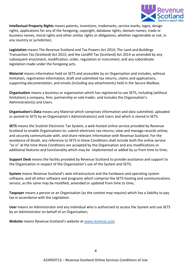

**Intellectual Property Rights** means patents, inventions, trademarks, service marks, logos, design rights, applications for any of the foregoing, copyright, database rights, domain names, trade or business names, moral rights and other similar rights or obligations, whether registerable or not, in any country or jurisdiction;

**Legislation** means The Revenue Scotland and Tax Powers Act 2014; The Land and Buildings Transaction Tax (Scotland) Act 2013; and the Landfill Tax (Scotland) Act 2014 as amended by any subsequent enactment, modification, order, regulation or instrument, and any subordinate legislation made under the foregoing acts.

**Material** means information held on SETS and accessible by an Organisation and includes, without limitation, registration information, draft and submitted tax returns, claims and applications, supporting documentation, and emails (including any attachments) held in the Secure Mailbox.

**Organisation** means a business or organisation which has registered to use SETS, including (without limitation) a company, firm, partnership or sole trader, and includes the Organisation's Administrator(s) and Users.

**Organisation's Data** means any Material which comprises information and data submitted, uploaded or posted to SETS by an Organisation's Administrator(s) and Users and which is stored in SETS.

**SETS** means the Scottish Electronic Tax System, a web-hosted online service provided by Revenue Scotland to enable Organisations to: submit electronic tax returns; view and manage records online; and securely communicate with, and share relevant information with Revenue Scotland. For the avoidance of doubt, any reference to SETS in these Conditions shall include both the online service "as is" at the time these Conditions are accepted by the Organisation and any modifications or additional features and functionality which may be implemented or added by us from time to time;

**Support Desk** means the facility provided by Revenue Scotland to provide assistance and support to the Organisation in respect of the Organisation's use of the System and SETS;

**System** means Revenue Scotland's web infrastructure and the hardware and operating system software, and all other software and programs which comprise the SETS hosting and communications service, as the same may be modified, amended or updated from time to time;

**Taxpayer** means a person or an Organisation (as the context may require) which has a liability to pay tax in accordance with the Legislation.

**User** means an Administrator and any individual who is authorised to access the System and use SETS by an Administrator on behalf of an Organisation;

**Website** means Revenue Scotland's website at [www.revenue.scot;](http://www.revenue.scot/)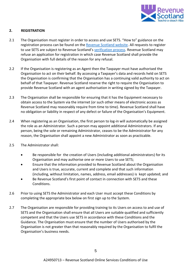

## <span id="page-5-0"></span>**2. REGISTRATION**

- 2.1 The Organisation must register in order to access and use SETS. "How to" guidance on the registration process can be found on the [Revenue Scotland website.](https://www.revenue.scot/sets-upgrade) All requests to register to use SETS are subject to Revenue Scotland's [verification process.](https://www.revenue.scot/sets-upgrade) Revenue Scotland may refuse an application for registration in which case Revenue Scotland shall provide the Organisation with full details of the reason for any refusal.
- 2.2 If the Organisation is registering as an Agent then the Taxpayer must have authorised the Organisation to act on their behalf. By accessing a Taxpayer's data and records held on SETS the Organisation is confirming that the Organisation has a continuing valid authority to act on behalf of that Taxpayer. Revenue Scotland reserve the right to require the Organisation to provide Revenue Scotland with an agent authorisation in writing signed by the Taxpayer.
- 2.3 The Organisation shall be responsible for ensuring that it has the Equipment necessary to obtain access to the System via the internet (or such other means of electronic access as Revenue Scotland may reasonably require from time to time). Revenue Scotland shall have no obligation or liability in respect of any defect or failure of the Organisation's Equipment.
- 2.4 When registering as an Organisation, the first person to log-in will automatically be assigned the role as an Administrator. Such a person may appoint additional Administrators. If any person, being the sole or remaining Administrator, ceases to be the Administrator for any reason, the Organisation shall appoint a new Administrator as soon as practicable.
- 2.5 The Administrator shall:
	- Be responsible for the creation of Users (including additional administrators) for its Organisation and may authorise one or more Users to use SETS;
	- Ensure that the information provided to Revenue Scotland about the Organisation and Users is true, accurate, current and complete and that such information (including, without limitation, names, address, email addresses) is kept updated; and
	- Be Revenue Scotland's first point of contact in connection with SETS and these Conditions.
- 2.6 Prior to using SETS the Administrator and each User must accept these Conditions by completing the appropriate box below on first sign up to the System.
- 2.7 The Organisation are responsible for providing training to its Users on access to and use of SETS and the Organisation shall ensure that all Users are suitable qualified and sufficiently competent and that the Users use SETS in accordance with these Conditions and the Guidance. The Organisation must ensure that the number of Users authorised by the Organisation is not greater than that reasonably required by the Organisation to fulfil the Organisation's business needs.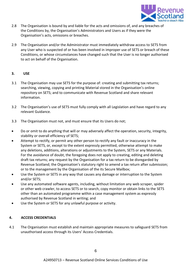

- 2.8 The Organisation is bound by and liable for the acts and omissions of, and any breaches of the Conditions by, the Organisation's Administrators and Users as if they were the Organisation's acts, omissions or breaches.
- 2.9 The Organisation and/or the Administrator must immediately withdraw access to SETS from any User who is suspected of or has been involved in improper use of SETS or breach of these Conditions, or whose circumstances have changed such that the User is no longer authorised to act on behalf of the Organisation.

#### <span id="page-6-0"></span>**3. USE**

- 3.1 The Organisation may use SETS for the purpose of: creating and submitting tax returns; searching, viewing, copying and printing Material stored in the Organisation's online repository on SETS; and to communicate with Revenue Scotland and share relevant information.
- 3.2 The Organisation's use of SETS must fully comply with all Legislation and have regard to any relevant Guidance.
- 3.3 The Organisation must not, and must ensure that its Users do not;
- Do or omit to do anything that will or may adversely affect the operation, security, integrity, stability or overall efficiency of SETS;
- Attempt to rectify, or permit any other person to rectify any fault or inaccuracy in the System or SETS, or, except to the extent expressly permitted, otherwise attempt to make any deletions, additions, alterations or adjustments to the System, SETS or any Materials. For the avoidance of doubt, the foregoing does not apply to creating, editing and deleting draft tax returns; any request by the Organisation for a tax return to be disregarded by Revenue Scotland; the Organisation's statutory right to amend a tax return after submission; or to the management by the Organisation of the its Secure Mailbox;
- Use the System or SETS in any way that causes any damage or interruption to the System and/or SETS;
- Use any automated software agents, including, without limitation any web scraper, spider or other web crawler, to access SETS or to search, copy monitor or obtain links to the SETS other than an automated programme within a case management system as expressly authorised by Revenue Scotland in writing; and
- Use the System or SETS for any unlawful purpose or activity.

# <span id="page-6-1"></span>**4. ACCESS CREDENTIALS**

4.1 The Organisation must establish and maintain appropriate measures to safeguard SETS from unauthorised access through its Users' Access Credentials.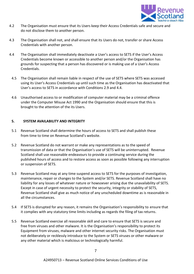

- 4.2 The Organisation must ensure that its Users keep their Access Credentials safe and secure and do not disclose them to another person.
- 4.3 The Organisation shall not, and shall ensure that its Users do not, transfer or share Access Credentials with another person.
- 4.4 The Organisation shall immediately deactivate a User's access to SETS if the User's Access Credentials become known or accessible to another person and/or the Organisation has grounds for suspecting that a person has discovered or is making use of a User's Access Credentials.
	- 4.5 The Organisation shall remain liable in respect of the use of SETS where SETS was accessed using its User's Access Credentials up until such time as the Organisation has deactivated that User's access to SETS in accordance with Conditions 2.9 and 4.4.
	- 4.6 Unauthorised access to or modification of computer material may be a criminal offence under the Computer Misuse Act 1990 and the Organisation should ensure that this is brought to the attention of the its Users.

#### <span id="page-7-0"></span>**5. SYSTEM AVAILABILITY AND INTEGRITY**

- 5.1 Revenue Scotland shall determine the hours of access to SETS and shall publish these from time to time on Revenue Scotland's website.
- 5.2 Revenue Scotland do not warrant or make any representations as to the speed of transmission of data or that the Organisation's use of SETS will be uninterrupted. Revenue Scotland shall use reasonable endeavours to provide a continuing service during the published hours of access and to restore access as soon as possible following any interruption or suspension of SETS.
- 5.3 Revenue Scotland may at any time suspend access to SETS for the purposes of investigation, maintenance, repair or changes to the System and/or SETS. Revenue Scotland shall have no liability for any losses of whatever nature or howsoever arising due the unavailability of SETS. Except in case of urgent necessity to protect the security, integrity or stability of SETS, Revenue Scotland shall give as much notice of any unscheduled downtime as is reasonable in all the circumstances.
- 5.4 If SETS is disrupted for any reason, it remains the Organisation's responsibility to ensure that it complies with any statutory time limits including as regards the filing of tax returns.
- 5.5 Revenue Scotland exercise all reasonable skill and care to ensure that SETS is secure and free from viruses and other malware. It is the Organisation's responsibility to protect its Equipment from viruses, malware and other internet security risks. The Organisation must not deliberately or recklessly introduce to the System or SETS viruses or other malware or any other material which is malicious or technologically harmful.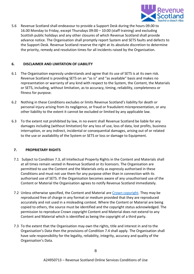

5.6 Revenue Scotland shall endeavour to provide a Support Desk during the hours 09.00 to 16.00 Monday to Friday, except Thursdays 09:00 – 10:00 (staff training) and excluding Scottish public holidays and any other closures of which Revenue Scotland shall provide advance notice. The Organisation shall promptly report System and SETS faults and defects to the Support Desk. Revenue Scotland reserve the right at its absolute discretion to determine the priority, remedy and resolution times for all incidents raised by the Organisation.

# <span id="page-8-0"></span>**6. DISCLAIMER AND LIMITATION OF LIABILITY**

- 6.1 The Organisation expressly understands and agree that its use of SETS is at its own risk. Revenue Scotland is providing SETS on an "as is" and "as available" basis and makes no representation or warranty of any kind with respect to the System, the Content, the Materials or SETS, including, without limitation, as to accuracy, timing, reliability, completeness or fitness for purpose.
- 6.2 Nothing in these Conditions excludes or limits Revenue Scotland's liability for death or personal injury arising from its negligence, or fraud or fraudulent misrepresentation, or any other liability to the extent it cannot be excluded or limited by any applicable law.
- 6.3 To the extent not prohibited by law, in no event shall Revenue Scotland be liable for any damages including (without limitation) for any loss of use, loss of data, lost profits, business interruption, or any indirect, incidental or consequential damages, arising out of or related to the use or availability of the System or SETS or loss or damage to Equipment.

# <span id="page-8-1"></span>**7. PROPRIETARY RIGHTS**

- 7.1 Subject to Condition 7.3, all Intellectual Property Rights in the Content and Materials shall at all times remain vested in Revenue Scotland or its licensors. The Organisation are permitted to use the Content and the Materials only as expressly authorised in these Conditions and must not use them for any purpose other than in connection with its authorised use of SETS. If the Organisation becomes aware of any unauthorised use of the Content or Material the Organisation agrees to notify Revenue Scotland immediately.
- 7.2 Unless otherwise specified, the Content and Material are [Crown copyright.](http://www.nationalarchives.gov.uk/information-management/re-using-public-sector-information/uk-government-licensing-framework/crown-copyright/) They may be reproduced free of charge in any format or medium provided that they are reproduced accurately and not used in a misleading context. Where the Content or Material are being copied to others, the source must be identified and the copyright status acknowledged. The permission to reproduce Crown copyright Content and Material does not extend to any Content and Material which is identified as being the copyright of a third party.
- 7.3 To the extent that the Organisation may own the rights, title and interest in and to the Organisation's Data then the provisions of Condition 7.4 shall apply. The Organisation shall have sole responsibility for the legality, reliability, integrity, accuracy and quality of the Organisation's Data.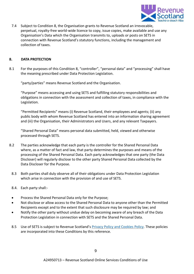

7.4 Subject to Condition 8, the Organisation grants to Revenue Scotland an irrevocable, perpetual, royalty-free world-wide licence to copy, issue copies, make available and use any Organisation's Data which the Organisation transmits to, uploads or posts on SETS in connection with Revenue Scotland's statutory functions, including the management and collection of taxes.

#### <span id="page-9-0"></span>**8. DATA PROTECTION**

8.1 For the purposes of this Condition 8, "controller", "personal data" and "processing" shall have the meaning prescribed under Data Protection Legislation.

"party/parties" means Revenue Scotland and the Organisation.

"Purpose" means accessing and using SETS and fulfilling statutory responsibilities and obligations in connection with the assessment and collection of taxes, in compliance with the Legislation.

"Permitted Recipients" means (i) Revenue Scotland, their employees and agents; (ii) any public body with whom Revenue Scotland has entered into an information sharing agreement and (iii) the Organisation, their Administrators and Users, and any relevant Taxpayers.

"Shared Personal Data" means personal data submitted, held, viewed and otherwise processed through SETS.

- 8.2 The parties acknowledge that each party is the controller for the Shared Personal Data where, as a matter of fact and law, that party determines the purposes and means of the processing of the Shared Personal Data. Each party acknowledges that one party (the Data Discloser) will regularly disclose to the other party Shared Personal Data collected by the Data Discloser for the Purpose.
	- 8.3 Both parties shall duly observe all of their obligations under Data Protection Legislation which arise in connection with the provision of and use of SETS.
	- 8.4. Each party shall:-
	- Process the Shared Personal Data only for the Purpose;
	- Not disclose or allow access to the Shared Personal Data to anyone other than the Permitted Recipients except and to the extent that such disclosure may be required by law; and
	- Notify the other party without undue delay on becoming aware of any breach of the Data Protection Legislation in connection with SETS and the Shared Personal Data.
	- 8.5 Use of SETS is subject to Revenue Scotland's [Privacy Policy and Cookies Policy.](https://www.revenue.scot/legal-notices) These policies are incorporated into these Conditions by this reference.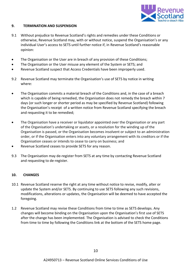

#### <span id="page-10-0"></span>**9. TERMINATION AND SUSPENSION**

- 9.1 Without prejudice to Revenue Scotland's rights and remedies under these Conditions or otherwise, Revenue Scotland may, with or without notice, suspend the Organisation's or any individual User's access to SETS until further notice if, in Revenue Scotland's reasonable opinion:
- The Organisation or the User are in breach of any provision of these Conditions;
- The Organisation or the User misuse any element of the System or SETS; and
- Revenue Scotland suspect that Access Credentials have been improperly used.
- 9.2 Revenue Scotland may terminate the Organisation's use of SETS by notice in writing where:
- The Organisation commits a material breach of the Conditions and, in the case of a breach which is capable of being remedied, the Organisation does not remedy the breach within 7 days (or such longer or shorter period as may be specified by Revenue Scotland) following the Organisation's receipt of a written notice from Revenue Scotland specifying the breach and requesting it to be remedied;
- The Organisation have a receiver or liquidator appointed over the Organisation or any part of the Organisation's undertaking or assets, or a resolution for the winding up of the Organisation is passed, or the Organisation becomes insolvent or subject to an administration order, or if the Organisation enters into any voluntary arrangement with its creditors or if the Organisation ceases or intends to cease to carry on business; and
- Revenue Scotland ceases to provide SETS for any reason.
- 9.3 The Organisation may de-register from SETS at any time by contacting Revenue Scotland and requesting to de-register.

#### <span id="page-10-1"></span>**10. CHANGES**

- 10.1 Revenue Scotland reserve the right at any time without notice to revise, modify, alter or update the System and/or SETS. By continuing to use SETS following any such revisions, modifications, alterations or updates, the Organisation will be deemed to have accepted the foregoing.
- 1.2 Revenue Scotland may revise these Conditions from time to time as SETS develops. Any changes will become binding on the Organisation upon the Organisation's first use of SETS after the change has been implemented. The Organisation is advised to check the Conditions from time to time by following the Conditions link at the bottom of the SETS home page.